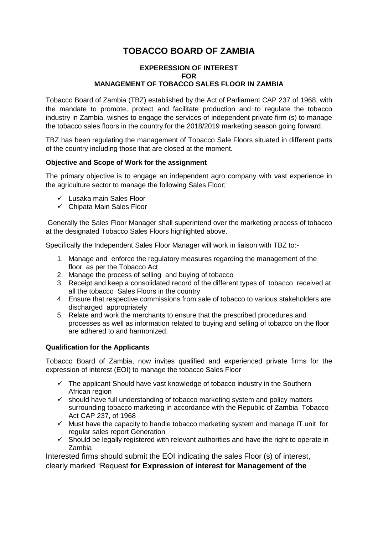## **TOBACCO BOARD OF ZAMBIA**

## **EXPERESSION OF INTEREST FOR MANAGEMENT OF TOBACCO SALES FLOOR IN ZAMBIA**

Tobacco Board of Zambia (TBZ) established by the Act of Parliament CAP 237 of 1968, with the mandate to promote, protect and facilitate production and to regulate the tobacco industry in Zambia, wishes to engage the services of independent private firm (s) to manage the tobacco sales floors in the country for the 2018/2019 marketing season going forward.

TBZ has been regulating the management of Tobacco Sale Floors situated in different parts of the country including those that are closed at the moment.

## **Objective and Scope of Work for the assignment**

The primary objective is to engage an independent agro company with vast experience in the agriculture sector to manage the following Sales Floor;

- $\checkmark$  Lusaka main Sales Floor
- $\checkmark$  Chipata Main Sales Floor

Generally the Sales Floor Manager shall superintend over the marketing process of tobacco at the designated Tobacco Sales Floors highlighted above.

Specifically the Independent Sales Floor Manager will work in liaison with TBZ to:-

- 1. Manage and enforce the regulatory measures regarding the management of the floor as per the Tobacco Act
- 2. Manage the process of selling and buying of tobacco
- 3. Receipt and keep a consolidated record of the different types of tobacco received at all the tobacco Sales Floors in the country
- 4. Ensure that respective commissions from sale of tobacco to various stakeholders are discharged appropriately
- 5. Relate and work the merchants to ensure that the prescribed procedures and processes as well as information related to buying and selling of tobacco on the floor are adhered to and harmonized.

## **Qualification for the Applicants**

Tobacco Board of Zambia, now invites qualified and experienced private firms for the expression of interest (EOI) to manage the tobacco Sales Floor

- $\checkmark$  The applicant Should have vast knowledge of tobacco industry in the Southern African region
- $\checkmark$  should have full understanding of tobacco marketing system and policy matters surrounding tobacco marketing in accordance with the Republic of Zambia Tobacco Act CAP 237, of 1968
- $\checkmark$  Must have the capacity to handle tobacco marketing system and manage IT unit for regular sales report Generation
- $\checkmark$  Should be legally registered with relevant authorities and have the right to operate in Zambia

Interested firms should submit the EOI indicating the sales Floor (s) of interest, clearly marked "Request **for Expression of interest for Management of the**